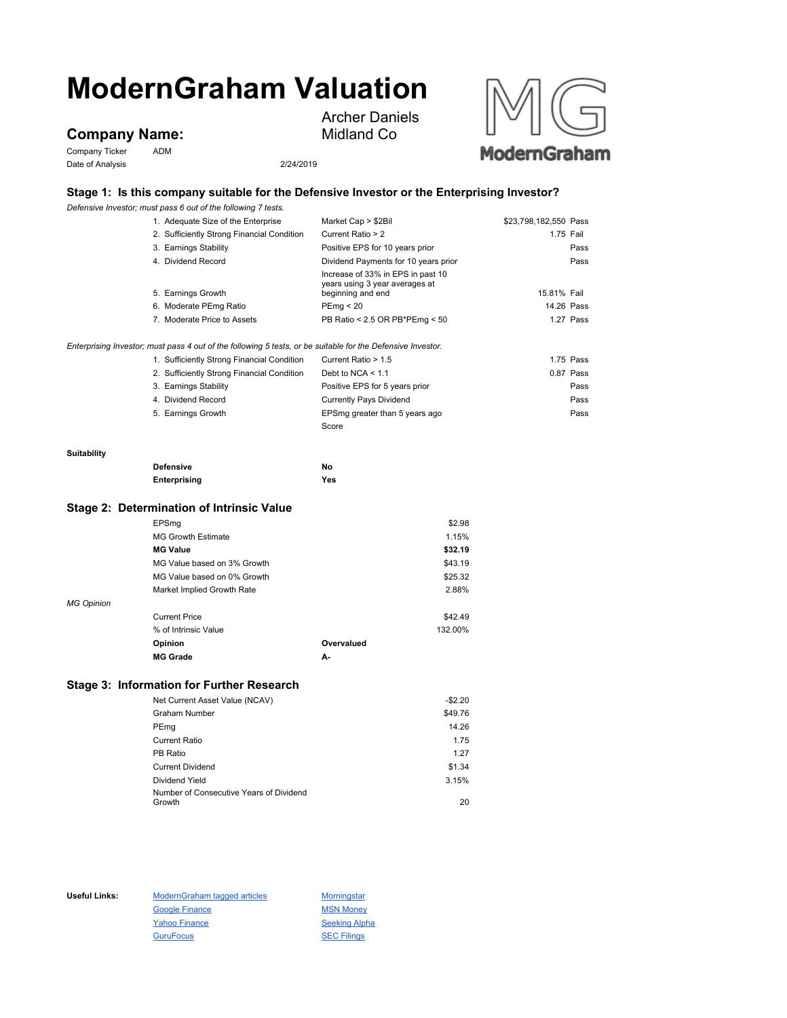# **ModernGraham Valuation**

# **Company Name:**

Company Ticker ADM Date of Analysis 2/24/2019



Archer Daniels Midland Co



## **Stage 1: Is this company suitable for the Defensive Investor or the Enterprising Investor?**

*Defensive Investor; must pass 6 out of the following 7 tests.*

|             | 1. Adequate Size of the Enterprise                                                                          | Market Cap > \$2Bil                                                                      | \$23,798,182,550 Pass |
|-------------|-------------------------------------------------------------------------------------------------------------|------------------------------------------------------------------------------------------|-----------------------|
|             | 2. Sufficiently Strong Financial Condition                                                                  | Current Ratio > 2                                                                        | 1.75 Fail             |
|             | 3. Earnings Stability                                                                                       | Positive EPS for 10 years prior                                                          | Pass                  |
|             | 4. Dividend Record                                                                                          | Dividend Payments for 10 years prior                                                     | Pass                  |
|             | 5. Earnings Growth                                                                                          | Increase of 33% in EPS in past 10<br>years using 3 year averages at<br>beginning and end | 15.81% Fail           |
|             | 6. Moderate PEmg Ratio                                                                                      | PEmg < 20                                                                                | 14.26 Pass            |
|             | 7. Moderate Price to Assets                                                                                 | PB Ratio < 2.5 OR PB*PEmg < 50                                                           | 1.27 Pass             |
|             | Enterprising Investor; must pass 4 out of the following 5 tests, or be suitable for the Defensive Investor. |                                                                                          |                       |
|             | 1. Sufficiently Strong Financial Condition                                                                  | Current Ratio > 1.5                                                                      | 1.75 Pass             |
|             | 2. Sufficiently Strong Financial Condition                                                                  | Debt to NCA $<$ 1.1                                                                      | $0.87$ Pass           |
|             | 3. Earnings Stability                                                                                       | Positive EPS for 5 years prior                                                           | Pass                  |
|             | 4. Dividend Record                                                                                          | <b>Currently Pays Dividend</b>                                                           | Pass                  |
|             | 5. Earnings Growth                                                                                          | EPSmg greater than 5 years ago                                                           | Pass                  |
|             |                                                                                                             | Score                                                                                    |                       |
| Suitability |                                                                                                             |                                                                                          |                       |
|             | <b>Defensive</b>                                                                                            | No                                                                                       |                       |
|             | Enterprising                                                                                                | Yes                                                                                      |                       |
|             | Stage 2: Determination of Intrinsic Value                                                                   |                                                                                          |                       |

### **Stage 2: Determination of Intrinsic Value**

|                   | EPSmg                       |            | \$2.98  |
|-------------------|-----------------------------|------------|---------|
|                   | <b>MG Growth Estimate</b>   |            | 1.15%   |
|                   | <b>MG Value</b>             |            | \$32.19 |
|                   | MG Value based on 3% Growth |            | \$43.19 |
|                   | MG Value based on 0% Growth |            | \$25.32 |
|                   | Market Implied Growth Rate  |            | 2.88%   |
| <b>MG Opinion</b> |                             |            |         |
|                   | <b>Current Price</b>        |            | \$42.49 |
|                   | % of Intrinsic Value        |            | 132.00% |
|                   | Opinion                     | Overvalued |         |
|                   | <b>MG Grade</b>             | А-         |         |

#### **Stage 3: Information for Further Research**

| Net Current Asset Value (NCAV)          | $-$2.20$ |
|-----------------------------------------|----------|
| <b>Graham Number</b>                    | \$49.76  |
| PEmg                                    | 14.26    |
| Current Ratio                           | 1.75     |
| PB Ratio                                | 1.27     |
| <b>Current Dividend</b>                 | \$1.34   |
| Dividend Yield                          | 3.15%    |
| Number of Consecutive Years of Dividend |          |
| Growth                                  | 20       |

Useful Links: ModernGraham tagged articles Morningstar Google Finance MSN Money Yahoo Finance Seeking Alpha GuruFocus **SEC Filings**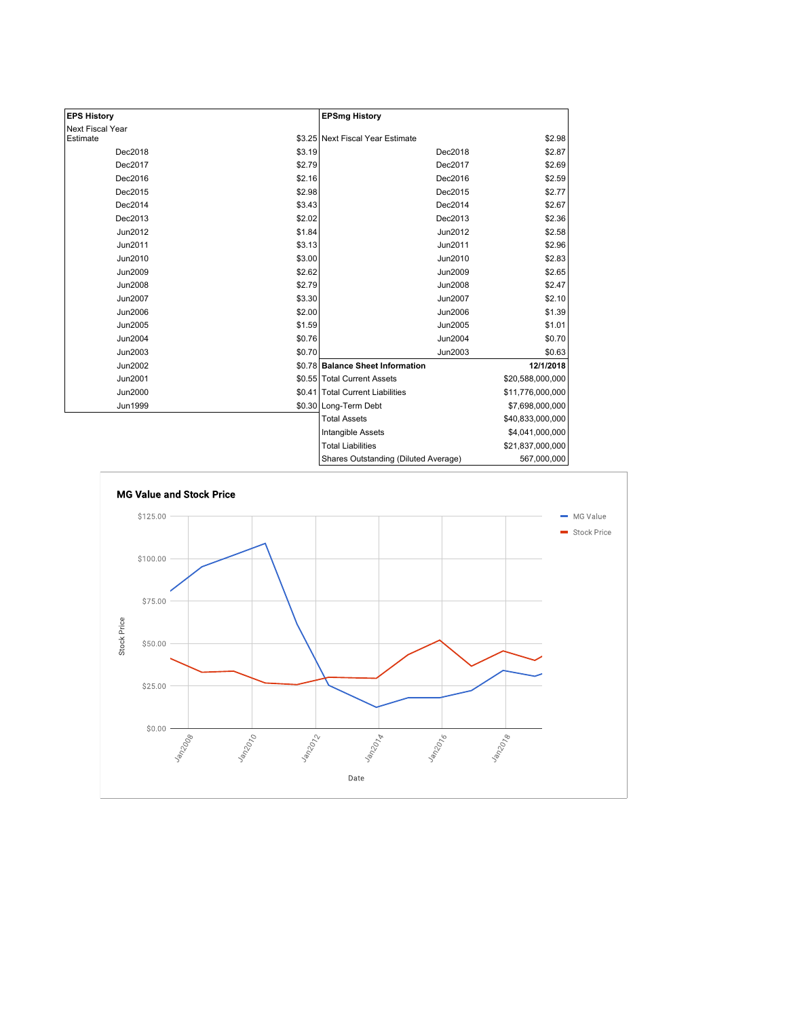| <b>EPS History</b> |        | <b>EPSmg History</b>                 |                  |
|--------------------|--------|--------------------------------------|------------------|
| Next Fiscal Year   |        |                                      |                  |
| Estimate           |        | \$3.25 Next Fiscal Year Estimate     | \$2.98           |
| Dec2018            | \$3.19 | Dec2018                              | \$2.87           |
| Dec2017            | \$2.79 | Dec2017                              | \$2.69           |
| Dec2016            | \$2.16 | Dec2016                              | \$2.59           |
| Dec2015            | \$2.98 | Dec2015                              | \$2.77           |
| Dec2014            | \$3.43 | Dec2014                              | \$2.67           |
| Dec2013            | \$2.02 | Dec2013                              | \$2.36           |
| Jun2012            | \$1.84 | Jun2012                              | \$2.58           |
| Jun2011            | \$3.13 | Jun2011                              | \$2.96           |
| Jun2010            | \$3.00 | Jun2010                              | \$2.83           |
| Jun2009            | \$2.62 | Jun2009                              | \$2.65           |
| Jun2008            | \$2.79 | Jun2008                              | \$2.47           |
| <b>Jun2007</b>     | \$3.30 | Jun2007                              | \$2.10           |
| Jun2006            | \$2.00 | Jun2006                              | \$1.39           |
| Jun2005            | \$1.59 | Jun2005                              | \$1.01           |
| Jun2004            | \$0.76 | Jun2004                              | \$0.70           |
| Jun2003            | \$0.70 | Jun2003                              | \$0.63           |
| Jun2002            |        | \$0.78 Balance Sheet Information     | 12/1/2018        |
| Jun2001            |        | \$0.55 Total Current Assets          | \$20,588,000,000 |
| Jun2000            |        | \$0.41 Total Current Liabilities     | \$11,776,000,000 |
| Jun1999            |        | \$0.30 Long-Term Debt                | \$7,698,000,000  |
|                    |        | <b>Total Assets</b>                  | \$40,833,000,000 |
|                    |        | Intangible Assets                    | \$4,041,000,000  |
|                    |        | <b>Total Liabilities</b>             | \$21,837,000,000 |
|                    |        | Shares Outstanding (Diluted Average) | 567,000,000      |